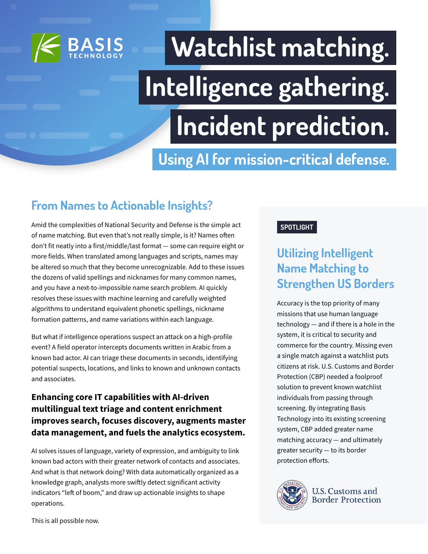

# **Watchlist matching. Intelligence gathering. Incident prediction.**

**Using AI for mission-critical defense.**

### **From Names to Actionable Insights?**

Amid the complexities of National Security and Defense is the simple act of name matching. But even that's not really simple, is it? Names often don't fit neatly into a first/middle/last format — some can require eight or more fields. When translated among languages and scripts, names may be altered so much that they become unrecognizable. Add to these issues the dozens of valid spellings and nicknames for many common names, and you have a next-to-impossible name search problem. AI quickly resolves these issues with machine learning and carefully weighted algorithms to understand equivalent phonetic spellings, nickname formation patterns, and name variations within each language.

But what if intelligence operations suspect an attack on a high-profile event? A field operator intercepts documents written in Arabic from a known bad actor. AI can triage these documents in seconds, identifying potential suspects, locations, and links to known and unknown contacts and associates.

### **Enhancing core IT capabilities with AI-driven multilingual text triage and content enrichment improves search, focuses discovery, augments master data management, and fuels the analytics ecosystem.**

AI solves issues of language, variety of expression, and ambiguity to link known bad actors with their greater network of contacts and associates. And what is that network doing? With data automatically organized as a knowledge graph, analysts more swiftly detect significant activity indicators "left of boom," and draw up actionable insights to shape operations.

#### **SPOTLIGHT**

### **Utilizing Intelligent Name Matching to Strengthen US Borders**

Accuracy is the top priority of many missions that use human language technology — and if there is a hole in the system, it is critical to security and commerce for the country. Missing even a single match against a watchlist puts citizens at risk. U.S. Customs and Border Protection (CBP) needed a foolproof solution to prevent known watchlist individuals from passing through screening. By integrating Basis Technology into its existing screening system, CBP added greater name matching accuracy — and ultimately greater security — to its border protection efforts.



**U.S. Customs and Border Protection** 

This is all possible now.